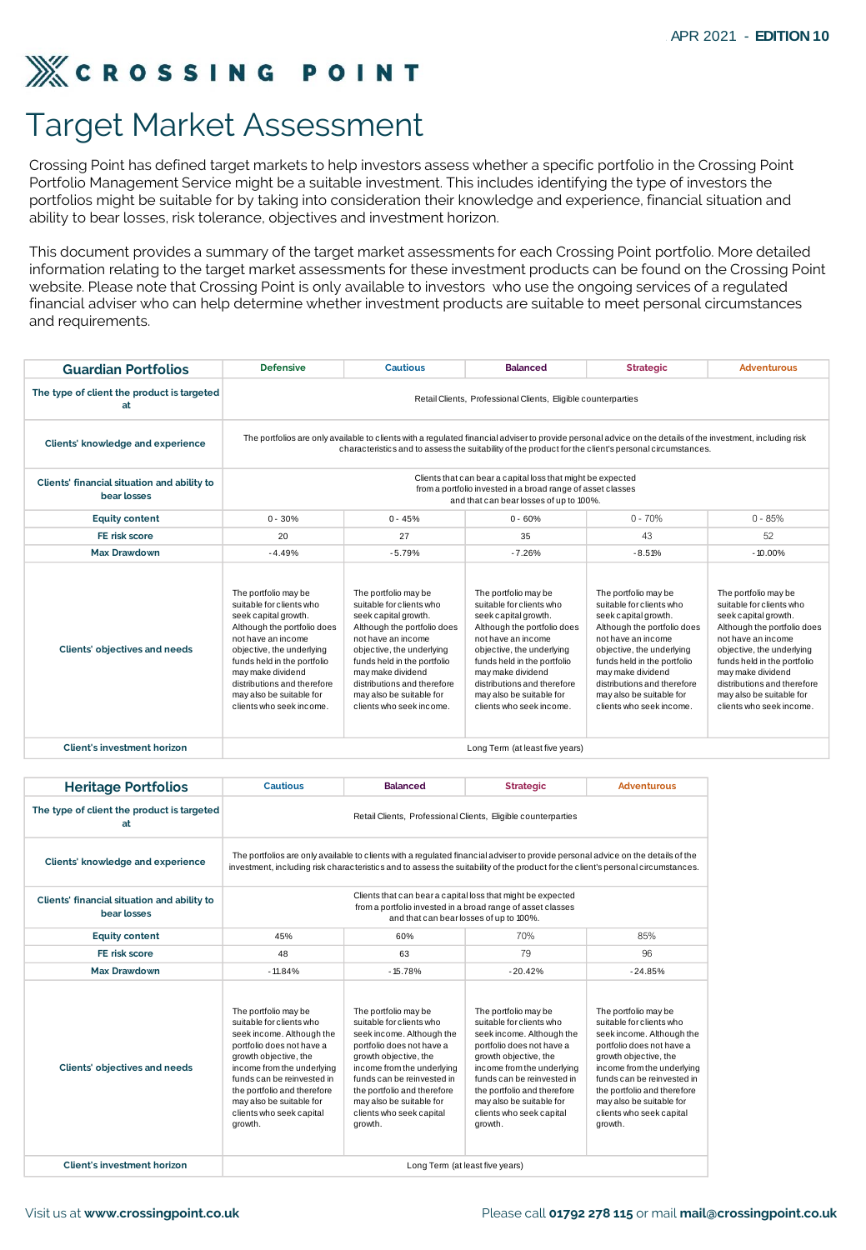## Target Market Assessment

|                                                                                                                                                                                                                                                                                                                                                                                                                                                                                                              |                                                                                                                                                                                                                                                                                                       |                                                                                                                                                                                                                                                                                                       |                                                                                                                                                                                                                                                                                                       |                                                                                                                                                                                                                                                                                                       | APR 2021 - EDITION 10                                                                                                                                                                                                                                                                                 |
|--------------------------------------------------------------------------------------------------------------------------------------------------------------------------------------------------------------------------------------------------------------------------------------------------------------------------------------------------------------------------------------------------------------------------------------------------------------------------------------------------------------|-------------------------------------------------------------------------------------------------------------------------------------------------------------------------------------------------------------------------------------------------------------------------------------------------------|-------------------------------------------------------------------------------------------------------------------------------------------------------------------------------------------------------------------------------------------------------------------------------------------------------|-------------------------------------------------------------------------------------------------------------------------------------------------------------------------------------------------------------------------------------------------------------------------------------------------------|-------------------------------------------------------------------------------------------------------------------------------------------------------------------------------------------------------------------------------------------------------------------------------------------------------|-------------------------------------------------------------------------------------------------------------------------------------------------------------------------------------------------------------------------------------------------------------------------------------------------------|
| <b>CROSSING POINT</b>                                                                                                                                                                                                                                                                                                                                                                                                                                                                                        |                                                                                                                                                                                                                                                                                                       |                                                                                                                                                                                                                                                                                                       |                                                                                                                                                                                                                                                                                                       |                                                                                                                                                                                                                                                                                                       |                                                                                                                                                                                                                                                                                                       |
|                                                                                                                                                                                                                                                                                                                                                                                                                                                                                                              |                                                                                                                                                                                                                                                                                                       |                                                                                                                                                                                                                                                                                                       |                                                                                                                                                                                                                                                                                                       |                                                                                                                                                                                                                                                                                                       |                                                                                                                                                                                                                                                                                                       |
| <b>Target Market Assessment</b>                                                                                                                                                                                                                                                                                                                                                                                                                                                                              |                                                                                                                                                                                                                                                                                                       |                                                                                                                                                                                                                                                                                                       |                                                                                                                                                                                                                                                                                                       |                                                                                                                                                                                                                                                                                                       |                                                                                                                                                                                                                                                                                                       |
| Crossing Point has defined target markets to help investors assess whether a specific portfolio in the Crossing Point<br>Portfolio Management Service might be a suitable investment. This includes identifying the type of investors the<br>portfolios might be suitable for by taking into consideration their knowledge and experience, financial situation and<br>ability to bear losses, risk tolerance, objectives and investment horizon.                                                             |                                                                                                                                                                                                                                                                                                       |                                                                                                                                                                                                                                                                                                       |                                                                                                                                                                                                                                                                                                       |                                                                                                                                                                                                                                                                                                       |                                                                                                                                                                                                                                                                                                       |
| This document provides a summary of the target market assessments for each Crossing Point portfolio. More detailed<br>information relating to the target market assessments for these investment products can be found on the Crossing Point<br>website. Please note that Crossing Point is only available to investors who use the ongoing services of a regulated<br>financial adviser who can help determine whether investment products are suitable to meet personal circumstances<br>and requirements. |                                                                                                                                                                                                                                                                                                       |                                                                                                                                                                                                                                                                                                       |                                                                                                                                                                                                                                                                                                       |                                                                                                                                                                                                                                                                                                       |                                                                                                                                                                                                                                                                                                       |
| <b>Guardian Portfolios</b>                                                                                                                                                                                                                                                                                                                                                                                                                                                                                   | <b>Defensive</b>                                                                                                                                                                                                                                                                                      | <b>Cautious</b>                                                                                                                                                                                                                                                                                       | <b>Balanced</b>                                                                                                                                                                                                                                                                                       | <b>Strategic</b>                                                                                                                                                                                                                                                                                      | <b>Adventurous</b>                                                                                                                                                                                                                                                                                    |
| The type of client the product is targeted<br>at                                                                                                                                                                                                                                                                                                                                                                                                                                                             |                                                                                                                                                                                                                                                                                                       |                                                                                                                                                                                                                                                                                                       | Retail Clients, Professional Clients, Eligible counterparties                                                                                                                                                                                                                                         |                                                                                                                                                                                                                                                                                                       |                                                                                                                                                                                                                                                                                                       |
| Clients' knowledge and experience                                                                                                                                                                                                                                                                                                                                                                                                                                                                            |                                                                                                                                                                                                                                                                                                       |                                                                                                                                                                                                                                                                                                       | The portfolios are only available to clients with a regulated financial adviser to provide personal advice on the details of the investment, including risk<br>characteristics and to assess the suitability of the product for the client's personal circumstances.                                  |                                                                                                                                                                                                                                                                                                       |                                                                                                                                                                                                                                                                                                       |
| Clients' financial situation and ability to<br>bear losses                                                                                                                                                                                                                                                                                                                                                                                                                                                   |                                                                                                                                                                                                                                                                                                       |                                                                                                                                                                                                                                                                                                       | Clients that can bear a capital loss that might be expected<br>from a portfolio invested in a broad range of asset classes<br>and that can bear losses of up to 100%.                                                                                                                                 |                                                                                                                                                                                                                                                                                                       |                                                                                                                                                                                                                                                                                                       |
| <b>Equity content</b>                                                                                                                                                                                                                                                                                                                                                                                                                                                                                        | $0 - 30%$                                                                                                                                                                                                                                                                                             | $0 - 45%$                                                                                                                                                                                                                                                                                             | $0 - 60%$                                                                                                                                                                                                                                                                                             | $0 - 70%$                                                                                                                                                                                                                                                                                             | $0 - 85%$                                                                                                                                                                                                                                                                                             |
| FE risk score                                                                                                                                                                                                                                                                                                                                                                                                                                                                                                | 20                                                                                                                                                                                                                                                                                                    | 27                                                                                                                                                                                                                                                                                                    | 35                                                                                                                                                                                                                                                                                                    | 43                                                                                                                                                                                                                                                                                                    | 52                                                                                                                                                                                                                                                                                                    |
| <b>Max Drawdown</b>                                                                                                                                                                                                                                                                                                                                                                                                                                                                                          | $-4.49%$                                                                                                                                                                                                                                                                                              | $-5.79%$                                                                                                                                                                                                                                                                                              | $-7.26%$                                                                                                                                                                                                                                                                                              | $-8.51%$                                                                                                                                                                                                                                                                                              | $-10.00%$                                                                                                                                                                                                                                                                                             |
| Clients' objectives and needs                                                                                                                                                                                                                                                                                                                                                                                                                                                                                | The portfolio may be<br>suitable for clients who<br>seek capital growth.<br>Although the portfolio does<br>not have an income<br>objective, the underlying<br>funds held in the portfolio<br>may make dividend<br>distributions and therefore<br>may also be suitable for<br>clients who seek income. | The portfolio may be<br>suitable for clients who<br>seek capital growth.<br>Although the portfolio does<br>not have an income<br>objective, the underlying<br>funds held in the portfolio<br>may make dividend<br>distributions and therefore<br>may also be suitable for<br>clients who seek income. | The portfolio may be<br>suitable for clients who<br>seek capital growth.<br>Although the portfolio does<br>not have an income<br>objective, the underlying<br>funds held in the portfolio<br>may make dividend<br>distributions and therefore<br>may also be suitable for<br>clients who seek income. | The portfolio may be<br>suitable for clients who<br>seek capital growth.<br>Although the portfolio does<br>not have an income<br>objective, the underlying<br>funds held in the portfolio<br>may make dividend<br>distributions and therefore<br>may also be suitable for<br>clients who seek income. | The portfolio may be<br>suitable for clients who<br>seek capital growth.<br>Although the portfolio does<br>not have an income<br>objective, the underlying<br>funds held in the portfolio<br>may make dividend<br>distributions and therefore<br>may also be suitable for<br>clients who seek income. |
| <b>Client's investment horizon</b>                                                                                                                                                                                                                                                                                                                                                                                                                                                                           |                                                                                                                                                                                                                                                                                                       |                                                                                                                                                                                                                                                                                                       | Long Term (at least five years)                                                                                                                                                                                                                                                                       |                                                                                                                                                                                                                                                                                                       |                                                                                                                                                                                                                                                                                                       |
|                                                                                                                                                                                                                                                                                                                                                                                                                                                                                                              |                                                                                                                                                                                                                                                                                                       |                                                                                                                                                                                                                                                                                                       |                                                                                                                                                                                                                                                                                                       |                                                                                                                                                                                                                                                                                                       |                                                                                                                                                                                                                                                                                                       |
| <b>Heritage Portfolios</b>                                                                                                                                                                                                                                                                                                                                                                                                                                                                                   | <b>Cautious</b>                                                                                                                                                                                                                                                                                       | <b>Balanced</b>                                                                                                                                                                                                                                                                                       | <b>Strategic</b>                                                                                                                                                                                                                                                                                      | <b>Adventurous</b>                                                                                                                                                                                                                                                                                    |                                                                                                                                                                                                                                                                                                       |
| The type of client the product is targeted<br>at                                                                                                                                                                                                                                                                                                                                                                                                                                                             |                                                                                                                                                                                                                                                                                                       |                                                                                                                                                                                                                                                                                                       | Retail Clients, Professional Clients, Eligible counterparties                                                                                                                                                                                                                                         |                                                                                                                                                                                                                                                                                                       |                                                                                                                                                                                                                                                                                                       |
| Clients' knowledge and experience                                                                                                                                                                                                                                                                                                                                                                                                                                                                            |                                                                                                                                                                                                                                                                                                       |                                                                                                                                                                                                                                                                                                       | The portfolios are only available to clients with a regulated financial adviser to provide personal advice on the details of the<br>investment, including risk characteristics and to assess the suitability of the product for the client's personal circumstances.                                  |                                                                                                                                                                                                                                                                                                       |                                                                                                                                                                                                                                                                                                       |
| Clients' financial situation and ability to<br>bear losses                                                                                                                                                                                                                                                                                                                                                                                                                                                   |                                                                                                                                                                                                                                                                                                       |                                                                                                                                                                                                                                                                                                       |                                                                                                                                                                                                                                                                                                       |                                                                                                                                                                                                                                                                                                       |                                                                                                                                                                                                                                                                                                       |
| <b>Equity content</b>                                                                                                                                                                                                                                                                                                                                                                                                                                                                                        | 45%                                                                                                                                                                                                                                                                                                   | 60%                                                                                                                                                                                                                                                                                                   | 70%                                                                                                                                                                                                                                                                                                   | 85%                                                                                                                                                                                                                                                                                                   |                                                                                                                                                                                                                                                                                                       |
| FE risk score                                                                                                                                                                                                                                                                                                                                                                                                                                                                                                | 48                                                                                                                                                                                                                                                                                                    | 63                                                                                                                                                                                                                                                                                                    | 79                                                                                                                                                                                                                                                                                                    | 96                                                                                                                                                                                                                                                                                                    |                                                                                                                                                                                                                                                                                                       |
| <b>Max Drawdown</b>                                                                                                                                                                                                                                                                                                                                                                                                                                                                                          | $-11.84%$                                                                                                                                                                                                                                                                                             | $-15.78%$                                                                                                                                                                                                                                                                                             | $-20.42%$                                                                                                                                                                                                                                                                                             | $-24.85%$                                                                                                                                                                                                                                                                                             |                                                                                                                                                                                                                                                                                                       |
| <b>Clients' objectives and needs</b>                                                                                                                                                                                                                                                                                                                                                                                                                                                                         | The portfolio may be<br>suitable for clients who<br>seek income. Although the<br>portfolio does not have a<br>growth objective, the<br>income from the underlying<br>funds can be reinvested in<br>the portfolio and therefore<br>may also be suitable for                                            | The portfolio may be<br>suitable for clients who<br>seek income. Although the<br>portfolio does not have a<br>growth objective, the<br>income from the underlying<br>funds can be reinvested in<br>the portfolio and therefore<br>may also be suitable for                                            | The portfolio may be<br>suitable for clients who<br>seek income. Although the<br>portfolio does not have a<br>growth objective, the<br>income from the underlying<br>funds can be reinvested in<br>the portfolio and therefore<br>may also be suitable for<br>clients who seek capital                | The portfolio may be<br>suitable for clients who<br>seek income. Although the<br>portfolio does not have a<br>growth objective, the<br>income from the underlying<br>funds can be reinvested in<br>the portfolio and therefore<br>may also be suitable for<br>clients who seek capital                |                                                                                                                                                                                                                                                                                                       |
|                                                                                                                                                                                                                                                                                                                                                                                                                                                                                                              | clients who seek capital<br>growth.                                                                                                                                                                                                                                                                   | clients who seek capital<br>growth.                                                                                                                                                                                                                                                                   | growth.                                                                                                                                                                                                                                                                                               | growth.                                                                                                                                                                                                                                                                                               |                                                                                                                                                                                                                                                                                                       |
| Client's investment horizon                                                                                                                                                                                                                                                                                                                                                                                                                                                                                  |                                                                                                                                                                                                                                                                                                       | Long Term (at least five years)                                                                                                                                                                                                                                                                       |                                                                                                                                                                                                                                                                                                       |                                                                                                                                                                                                                                                                                                       |                                                                                                                                                                                                                                                                                                       |

| <b>Heritage Portfolios</b>                                 | <b>Cautious</b>                                                                                                                                                                                                                                                                                   | <b>Balanced</b>                                                                                                                                                                                                                                                                                   | <b>Strategic</b>                                                                                                                                                                                                                                                                                  | <b>Adventurous</b>                                                                                                                                                                                                                                                                                |
|------------------------------------------------------------|---------------------------------------------------------------------------------------------------------------------------------------------------------------------------------------------------------------------------------------------------------------------------------------------------|---------------------------------------------------------------------------------------------------------------------------------------------------------------------------------------------------------------------------------------------------------------------------------------------------|---------------------------------------------------------------------------------------------------------------------------------------------------------------------------------------------------------------------------------------------------------------------------------------------------|---------------------------------------------------------------------------------------------------------------------------------------------------------------------------------------------------------------------------------------------------------------------------------------------------|
| The type of client the product is targeted<br>at           |                                                                                                                                                                                                                                                                                                   |                                                                                                                                                                                                                                                                                                   | Retail Clients, Professional Clients, Eligible counterparties                                                                                                                                                                                                                                     |                                                                                                                                                                                                                                                                                                   |
| Clients' knowledge and experience                          |                                                                                                                                                                                                                                                                                                   |                                                                                                                                                                                                                                                                                                   | The portfolios are only available to clients with a regulated financial adviser to provide personal advice on the details of the<br>investment, including risk characteristics and to assess the suitability of the product for the client's personal circumstances.                              |                                                                                                                                                                                                                                                                                                   |
| Clients' financial situation and ability to<br>bear losses |                                                                                                                                                                                                                                                                                                   |                                                                                                                                                                                                                                                                                                   | Clients that can bear a capital loss that might be expected<br>from a portfolio invested in a broad range of asset classes<br>and that can bear losses of up to 100%.                                                                                                                             |                                                                                                                                                                                                                                                                                                   |
| <b>Equity content</b>                                      | 45%                                                                                                                                                                                                                                                                                               | 60%                                                                                                                                                                                                                                                                                               | 70%                                                                                                                                                                                                                                                                                               | 85%                                                                                                                                                                                                                                                                                               |
| FE risk score                                              | 48                                                                                                                                                                                                                                                                                                | 63                                                                                                                                                                                                                                                                                                | 79                                                                                                                                                                                                                                                                                                | 96                                                                                                                                                                                                                                                                                                |
| Max Drawdown                                               | $-11.84%$                                                                                                                                                                                                                                                                                         | $-15.78%$                                                                                                                                                                                                                                                                                         | $-20.42%$                                                                                                                                                                                                                                                                                         | $-24.85%$                                                                                                                                                                                                                                                                                         |
| <b>Clients' objectives and needs</b>                       | The portfolio may be<br>suitable for clients who<br>seek income. Although the<br>portfolio does not have a<br>growth objective, the<br>income from the underlying<br>funds can be reinvested in<br>the portfolio and therefore<br>may also be suitable for<br>clients who seek capital<br>growth. | The portfolio may be<br>suitable for clients who<br>seek income. Although the<br>portfolio does not have a<br>growth objective, the<br>income from the underlying<br>funds can be reinvested in<br>the portfolio and therefore<br>may also be suitable for<br>clients who seek capital<br>growth. | The portfolio may be<br>suitable for clients who<br>seek income. Although the<br>portfolio does not have a<br>growth objective, the<br>income from the underlying<br>funds can be reinvested in<br>the portfolio and therefore<br>may also be suitable for<br>clients who seek capital<br>growth. | The portfolio may be<br>suitable for clients who<br>seek income. Although the<br>portfolio does not have a<br>growth objective, the<br>income from the underlying<br>funds can be reinvested in<br>the portfolio and therefore<br>may also be suitable for<br>clients who seek capital<br>growth. |
| <b>Client's investment horizon</b>                         |                                                                                                                                                                                                                                                                                                   |                                                                                                                                                                                                                                                                                                   | Long Term (at least five years)                                                                                                                                                                                                                                                                   |                                                                                                                                                                                                                                                                                                   |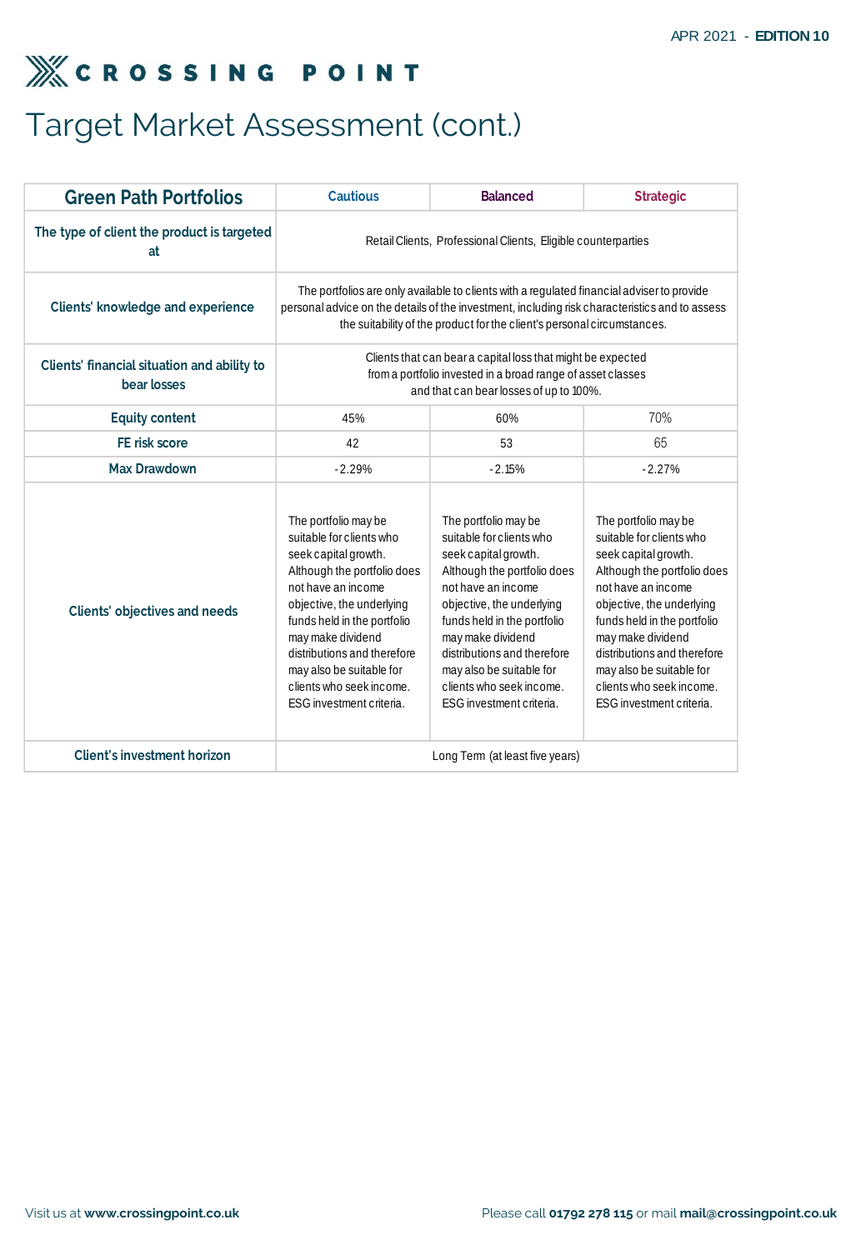# Target Market Assessment (cont.)

| The type of client the product is targeted<br>at<br><b>Clients' knowledge and experience</b><br>Clients' financial situation and ability to<br>bear losses<br><b>Equity content</b><br>45%<br>FE risk score<br>42<br><b>Max Drawdown</b><br>$-2.29%$<br>The portfolio may be<br>suitable for clients who<br>seek capital growth.<br>Although the portfolio does<br>not have an income<br>objective, the underlying<br><b>Clients' objectives and needs</b><br>funds held in the portfolio<br>may make dividend<br>distributions and therefore | Retail Clients, Professional Clients, Eligible counterparties<br>The portfolios are only available to clients with a regulated financial adviser to provide<br>the suitability of the product for the client's personal circumstances.<br>Clients that can bear a capital loss that might be expected<br>from a portfolio invested in a broad range of asset classes<br>and that can bear losses of up to 100%.<br>60%<br>53<br>$-2.15%$<br>The portfolio may be<br>suitable for clients who<br>seek capital growth.<br>Although the portfolio does<br>not have an income<br>objective, the underlying | personal advice on the details of the investment, including risk characteristics and to assess<br>70%<br>65<br>$-2.27%$<br>The portfolio may be<br>suitable for clients who<br>seek capital growth.<br>Although the portfolio does<br>not have an income |
|-----------------------------------------------------------------------------------------------------------------------------------------------------------------------------------------------------------------------------------------------------------------------------------------------------------------------------------------------------------------------------------------------------------------------------------------------------------------------------------------------------------------------------------------------|--------------------------------------------------------------------------------------------------------------------------------------------------------------------------------------------------------------------------------------------------------------------------------------------------------------------------------------------------------------------------------------------------------------------------------------------------------------------------------------------------------------------------------------------------------------------------------------------------------|----------------------------------------------------------------------------------------------------------------------------------------------------------------------------------------------------------------------------------------------------------|
|                                                                                                                                                                                                                                                                                                                                                                                                                                                                                                                                               |                                                                                                                                                                                                                                                                                                                                                                                                                                                                                                                                                                                                        |                                                                                                                                                                                                                                                          |
|                                                                                                                                                                                                                                                                                                                                                                                                                                                                                                                                               |                                                                                                                                                                                                                                                                                                                                                                                                                                                                                                                                                                                                        |                                                                                                                                                                                                                                                          |
|                                                                                                                                                                                                                                                                                                                                                                                                                                                                                                                                               |                                                                                                                                                                                                                                                                                                                                                                                                                                                                                                                                                                                                        |                                                                                                                                                                                                                                                          |
|                                                                                                                                                                                                                                                                                                                                                                                                                                                                                                                                               |                                                                                                                                                                                                                                                                                                                                                                                                                                                                                                                                                                                                        |                                                                                                                                                                                                                                                          |
|                                                                                                                                                                                                                                                                                                                                                                                                                                                                                                                                               |                                                                                                                                                                                                                                                                                                                                                                                                                                                                                                                                                                                                        |                                                                                                                                                                                                                                                          |
|                                                                                                                                                                                                                                                                                                                                                                                                                                                                                                                                               |                                                                                                                                                                                                                                                                                                                                                                                                                                                                                                                                                                                                        |                                                                                                                                                                                                                                                          |
| may also be suitable for<br>clients who seek income.<br>ESG investment criteria.                                                                                                                                                                                                                                                                                                                                                                                                                                                              | funds held in the portfolio<br>may make dividend<br>distributions and therefore<br>may also be suitable for<br>clients who seek income.<br>ESG investment criteria.                                                                                                                                                                                                                                                                                                                                                                                                                                    | objective, the underlying<br>funds held in the portfolio<br>may make dividend<br>distributions and therefore<br>may also be suitable for<br>clients who seek income.<br>ESG investment criteria.                                                         |
| <b>Client's investment horizon</b>                                                                                                                                                                                                                                                                                                                                                                                                                                                                                                            | Long Term (at least five years)                                                                                                                                                                                                                                                                                                                                                                                                                                                                                                                                                                        |                                                                                                                                                                                                                                                          |
|                                                                                                                                                                                                                                                                                                                                                                                                                                                                                                                                               |                                                                                                                                                                                                                                                                                                                                                                                                                                                                                                                                                                                                        |                                                                                                                                                                                                                                                          |
|                                                                                                                                                                                                                                                                                                                                                                                                                                                                                                                                               |                                                                                                                                                                                                                                                                                                                                                                                                                                                                                                                                                                                                        |                                                                                                                                                                                                                                                          |